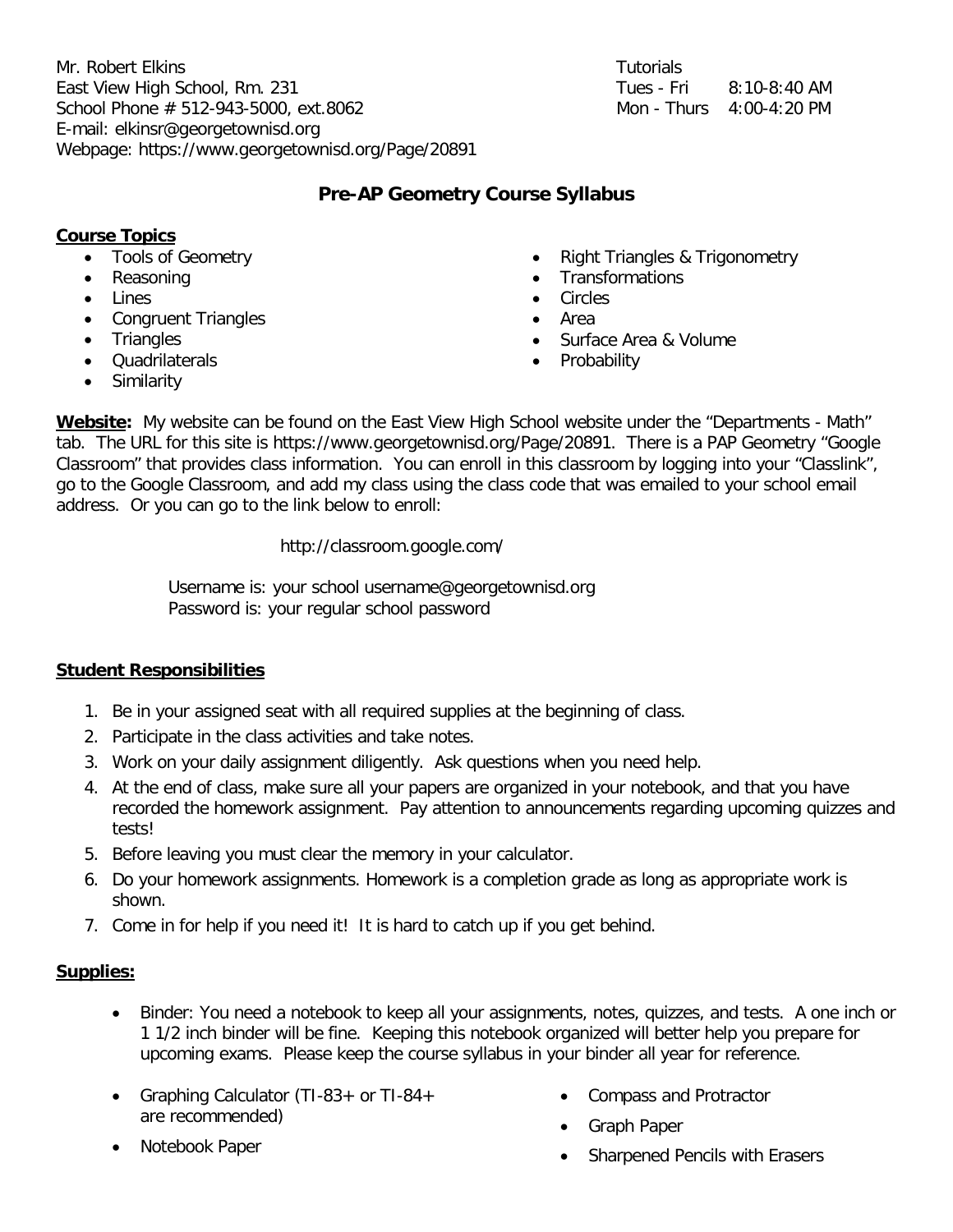Mr. Robert Elkins East View High School, Rm. 231 School Phone  $# 512-943-5000$ , ext.8062 E-mail: elkinsr@georgetownisd.org Webpage: https://www.georgetownisd.org/Page/20891

| <b>Tutorials</b> |                            |
|------------------|----------------------------|
| Tues - Fri       | $8:10-8:40$ AM             |
|                  | Mon - Thurs $4:00-4:20$ PM |

# **Pre-AP Geometry Course Syllabus**

### **Course Topics**

- Tools of Geometry
- Reasoning
- Lines
- Congruent Triangles
- Triangles
- Quadrilaterals
- **Similarity**
- Right Triangles & Trigonometry
- **Transformations**
- **Circles**
- Area
- Surface Area & Volume
- Probability

**Website:** My website can be found on the East View High School website under the "Departments - Math" tab. The URL for this site is https://www.georgetownisd.org/Page/20891. There is a PAP Geometry "Google Classroom" that provides class information. You can enroll in this classroom by logging into your "Classlink", go to the Google Classroom, and add my class using the class code that was emailed to your school email address. Or you can go to the link below to enroll:

http://classroom.google.com/

Username is: your school username@georgetownisd.org Password is: your regular school password

# **Student Responsibilities**

- 1. Be in your assigned seat with all required supplies at the beginning of class.
- 2. Participate in the class activities and take notes.
- 3. Work on your daily assignment diligently. Ask questions when you need help.
- 4. At the end of class, make sure all your papers are organized in your notebook, and that you have recorded the homework assignment. Pay attention to announcements regarding upcoming quizzes and tests!
- 5. Before leaving you must clear the memory in your calculator.
- 6. Do your homework assignments. Homework is a completion grade as long as appropriate work is shown.
- 7. Come in for help if you need it! It is hard to catch up if you get behind.

### **Supplies:**

- Binder: You need a notebook to keep all your assignments, notes, quizzes, and tests. A one inch or 1 1/2 inch binder will be fine. Keeping this notebook organized will better help you prepare for upcoming exams. Please keep the course syllabus in your binder all year for reference.
- Graphing Calculator (TI-83+ or TI-84+ are recommended)
- Notebook Paper
- Compass and Protractor
- Graph Paper
- Sharpened Pencils with Erasers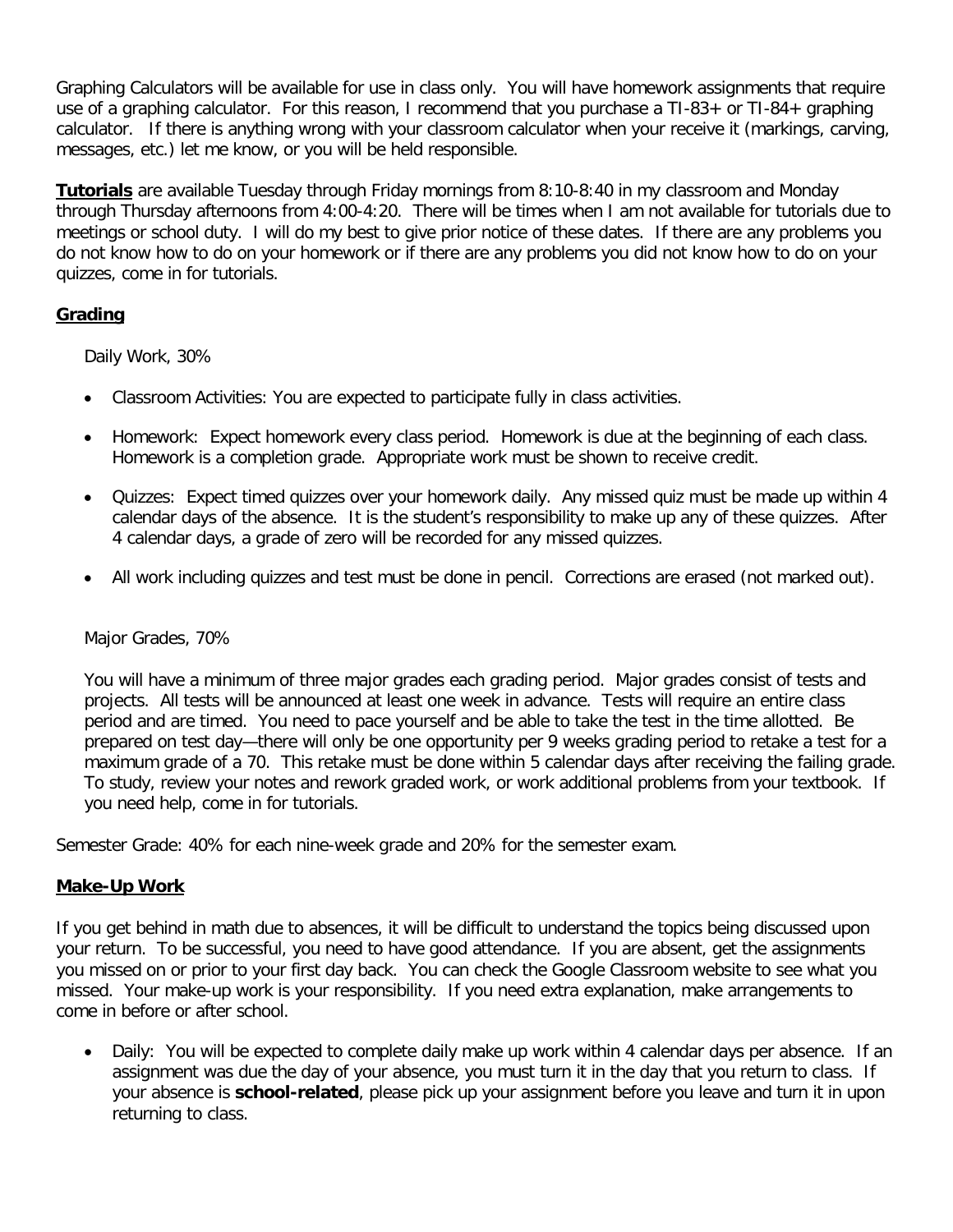Graphing Calculators will be available for use in class only. You will have homework assignments that require use of a graphing calculator. For this reason, I recommend that you purchase a TI-83+ or TI-84+ graphing calculator. If there is anything wrong with your classroom calculator when your receive it (markings, carving, messages, etc.) let me know, or you will be held responsible.

**Tutorials** are available Tuesday through Friday mornings from 8:10-8:40 in my classroom and Monday through Thursday afternoons from 4:00-4:20. There will be times when I am not available for tutorials due to meetings or school duty. I will do my best to give prior notice of these dates. If there are any problems you do not know how to do on your homework or if there are any problems you did not know how to do on your quizzes, come in for tutorials.

# **Grading**

Daily Work, 30%

- Classroom Activities: You are expected to participate fully in class activities.
- Homework: Expect homework every class period. Homework is due at the beginning of each class. Homework is a completion grade. Appropriate work must be shown to receive credit.
- Quizzes: Expect timed quizzes over your homework daily. Any missed quiz must be made up within 4 calendar days of the absence. It is the student's responsibility to make up any of these quizzes. After 4 calendar days, a grade of zero will be recorded for any missed quizzes.
- All work including quizzes and test must be done in pencil. Corrections are erased (not marked out).

### Major Grades, 70%

You will have a minimum of three major grades each grading period. Major grades consist of tests and projects. All tests will be announced at least one week in advance. Tests will require an entire class period and are timed. You need to pace yourself and be able to take the test in the time allotted. Be prepared on test day—there will only be one opportunity per 9 weeks grading period to retake a test for a maximum grade of a 70. This retake must be done within 5 calendar days after receiving the failing grade. To study, review your notes and rework graded work, or work additional problems from your textbook. If you need help, come in for tutorials.

Semester Grade: 40% for each nine-week grade and 20% for the semester exam.

### **Make-Up Work**

If you get behind in math due to absences, it will be difficult to understand the topics being discussed upon your return. To be successful, you need to have good attendance. If you are absent, get the assignments you missed on or prior to your first day back. You can check the Google Classroom website to see what you missed. Your make-up work is your responsibility. If you need extra explanation, make arrangements to come in before or after school.

• Daily: You will be expected to complete daily make up work within 4 calendar days per absence. If an assignment was due the day of your absence, you must turn it in the day that you return to class. If your absence is **school-related**, please pick up your assignment before you leave and turn it in upon returning to class.